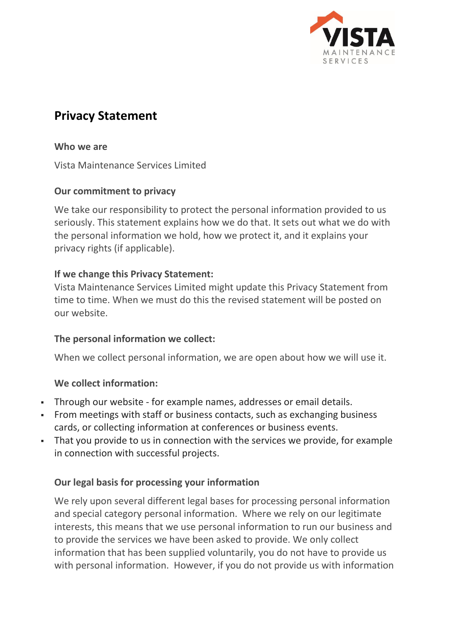

# **Privacy Statement**

**Who we are**

Vista Maintenance Services Limited

#### **Our commitment to privacy**

We take our responsibility to protect the personal information provided to us seriously. This statement explains how we do that. It sets out what we do with the personal information we hold, how we protect it, and it explains your privacy rights (if applicable).

## **If we change this Privacy Statement:**

Vista Maintenance Services Limited might update this Privacy Statement from time to time. When we must do this the revised statement will be posted on our website.

#### **The personal information we collect:**

When we collect personal information, we are open about how we will use it.

#### **We collect information:**

- Through our website for example names, addresses or email details.
- **From meetings with staff or business contacts, such as exchanging business** cards, or collecting information at conferences or business events.
- That you provide to us in connection with the services we provide, for example in connection with successful projects.

#### **Our legal basis for processing your information**

We rely upon several different legal bases for processing personal information and special category personal information. Where we rely on our legitimate interests, this means that we use personal information to run our business and to provide the services we have been asked to provide. We only collect information that has been supplied voluntarily, you do not have to provide us with personal information. However, if you do not provide us with information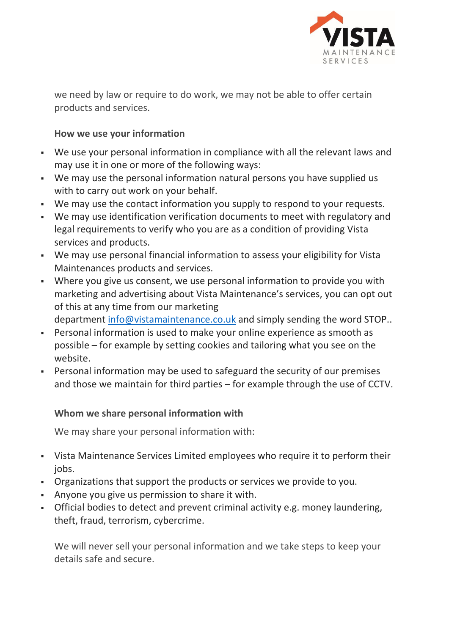

we need by law or require to do work, we may not be able to offer certain products and services.

## **How we use your information**

- We use your personal information in compliance with all the relevant laws and may use it in one or more of the following ways:
- We may use the personal information natural persons you have supplied us with to carry out work on your behalf.
- We may use the contact information you supply to respond to your requests.
- We may use identification verification documents to meet with regulatory and legal requirements to verify who you are as a condition of providing Vista services and products.
- We may use personal financial information to assess your eligibility for Vista Maintenances products and services.
- Where you give us consent, we use personal information to provide you with marketing and advertising about Vista Maintenance's services, you can opt out of this at any time from our marketing

department [info@vistamaintenance.co.uk](mailto:info@vistamaintenance.co.uk) and simply sending the word STOP..

- Personal information is used to make your online experience as smooth as possible – for example by setting cookies and tailoring what you see on the website.
- Personal information may be used to safeguard the security of our premises and those we maintain for third parties – for example through the use of CCTV.

# **Whom we share personal information with**

We may share your personal information with:

- Vista Maintenance Services Limited employees who require it to perform their jobs.
- Organizations that support the products or services we provide to you.
- Anyone you give us permission to share it with.
- Official bodies to detect and prevent criminal activity e.g. money laundering, theft, fraud, terrorism, cybercrime.

We will never sell your personal information and we take steps to keep your details safe and secure.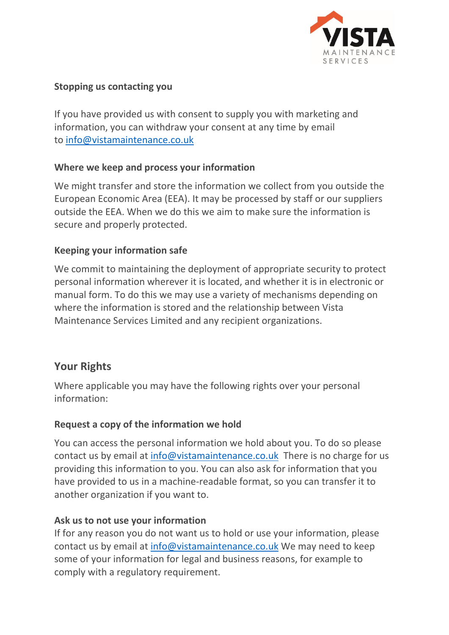

#### **Stopping us contacting you**

If you have provided us with consent to supply you with marketing and information, you can withdraw your consent at any time by email to [info@vistamaintenance.co.uk](mailto:info@vistamaintenance.co.uk)

#### **Where we keep and process your information**

We might transfer and store the information we collect from you outside the European Economic Area (EEA). It may be processed by staff or our suppliers outside the EEA. When we do this we aim to make sure the information is secure and properly protected.

## **Keeping your information safe**

We commit to maintaining the deployment of appropriate security to protect personal information wherever it is located, and whether it is in electronic or manual form. To do this we may use a variety of mechanisms depending on where the information is stored and the relationship between Vista Maintenance Services Limited and any recipient organizations.

# **Your Rights**

Where applicable you may have the following rights over your personal information:

#### **Request a copy of the information we hold**

You can access the personal information we hold about you. To do so please contact us by email at [info@vistamaintenance.co.uk](mailto:info@vistamaintenance.co.uk) There is no charge for us providing this information to you. You can also ask for information that you have provided to us in a machine-readable format, so you can transfer it to another organization if you want to.

#### **Ask us to not use your information**

If for any reason you do not want us to hold or use your information, please contact us by email at [info@vistamaintenance.co.uk](mailto:info@vistamaintenance.co.uk) We may need to keep some of your information for legal and business reasons, for example to comply with a regulatory requirement.